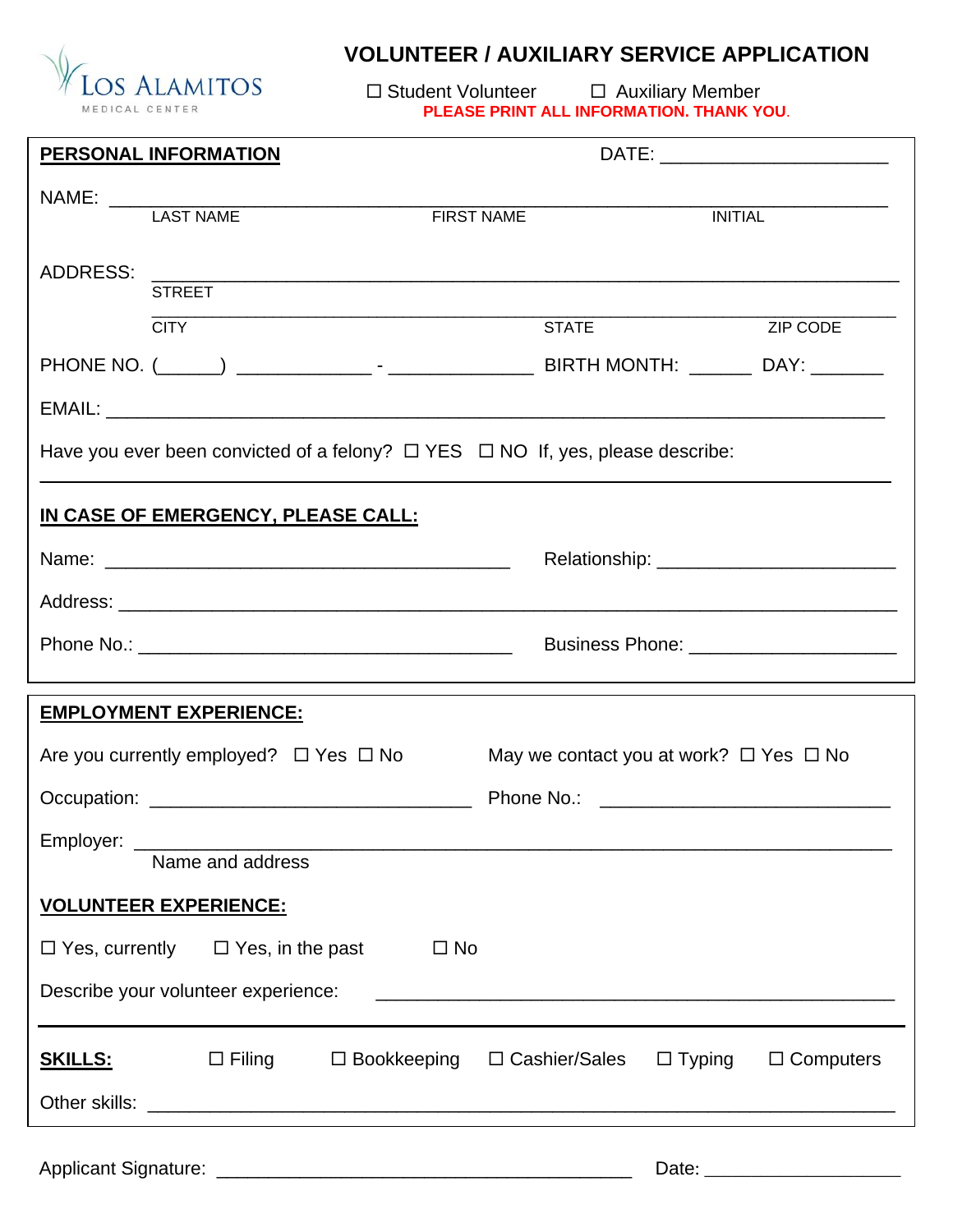

## **VOLUNTEER / AUXILIARY SERVICE APPLICATION**

 $\Box$  Student Volunteer  $\Box$  Auxiliary Member **PLEASE PRINT ALL INFORMATION. THANK YOU**.

|                                                                                                                                                             | <b>PERSONAL INFORMATION</b>                                                              |              | DATE: __________________________                                    |                                                  |                  |  |
|-------------------------------------------------------------------------------------------------------------------------------------------------------------|------------------------------------------------------------------------------------------|--------------|---------------------------------------------------------------------|--------------------------------------------------|------------------|--|
|                                                                                                                                                             |                                                                                          |              |                                                                     |                                                  |                  |  |
|                                                                                                                                                             |                                                                                          |              | <b>FIRST NAME</b>                                                   | <b>INITIAL</b>                                   |                  |  |
| <b>ADDRESS:</b>                                                                                                                                             |                                                                                          |              |                                                                     |                                                  |                  |  |
|                                                                                                                                                             | <b>STREET</b>                                                                            |              |                                                                     |                                                  |                  |  |
|                                                                                                                                                             | <b>CITY</b>                                                                              |              | <b>STATE</b>                                                        |                                                  | ZIP CODE         |  |
|                                                                                                                                                             |                                                                                          |              |                                                                     |                                                  |                  |  |
|                                                                                                                                                             |                                                                                          |              |                                                                     |                                                  |                  |  |
|                                                                                                                                                             | Have you ever been convicted of a felony? $\Box$ YES $\Box$ NO If, yes, please describe: |              |                                                                     |                                                  |                  |  |
|                                                                                                                                                             | IN CASE OF EMERGENCY, PLEASE CALL:                                                       |              |                                                                     |                                                  |                  |  |
|                                                                                                                                                             |                                                                                          |              |                                                                     |                                                  |                  |  |
|                                                                                                                                                             |                                                                                          |              |                                                                     |                                                  |                  |  |
|                                                                                                                                                             |                                                                                          |              | Business Phone: _________________________                           |                                                  |                  |  |
|                                                                                                                                                             | <b>EMPLOYMENT EXPERIENCE:</b>                                                            |              |                                                                     |                                                  |                  |  |
|                                                                                                                                                             | Are you currently employed? $\Box$ Yes $\Box$ No                                         |              |                                                                     | May we contact you at work? $\Box$ Yes $\Box$ No |                  |  |
|                                                                                                                                                             |                                                                                          |              |                                                                     |                                                  |                  |  |
| Employer:                                                                                                                                                   |                                                                                          |              |                                                                     |                                                  |                  |  |
|                                                                                                                                                             | Name and address                                                                         |              |                                                                     |                                                  |                  |  |
|                                                                                                                                                             | <b>VOLUNTEER EXPERIENCE:</b>                                                             |              |                                                                     |                                                  |                  |  |
|                                                                                                                                                             | $\Box$ Yes, currently $\Box$ Yes, in the past                                            | $\square$ No |                                                                     |                                                  |                  |  |
| Describe your volunteer experience:<br><u> 2008 - Jan James James James James James James James James James James James James James James James James J</u> |                                                                                          |              |                                                                     |                                                  |                  |  |
| <u>SKILLS:</u>                                                                                                                                              |                                                                                          |              | $\Box$ Filing $\Box$ Bookkeeping $\Box$ Cashier/Sales $\Box$ Typing |                                                  | $\Box$ Computers |  |
|                                                                                                                                                             |                                                                                          |              |                                                                     |                                                  |                  |  |
|                                                                                                                                                             |                                                                                          |              |                                                                     | Date: ________________________                   |                  |  |